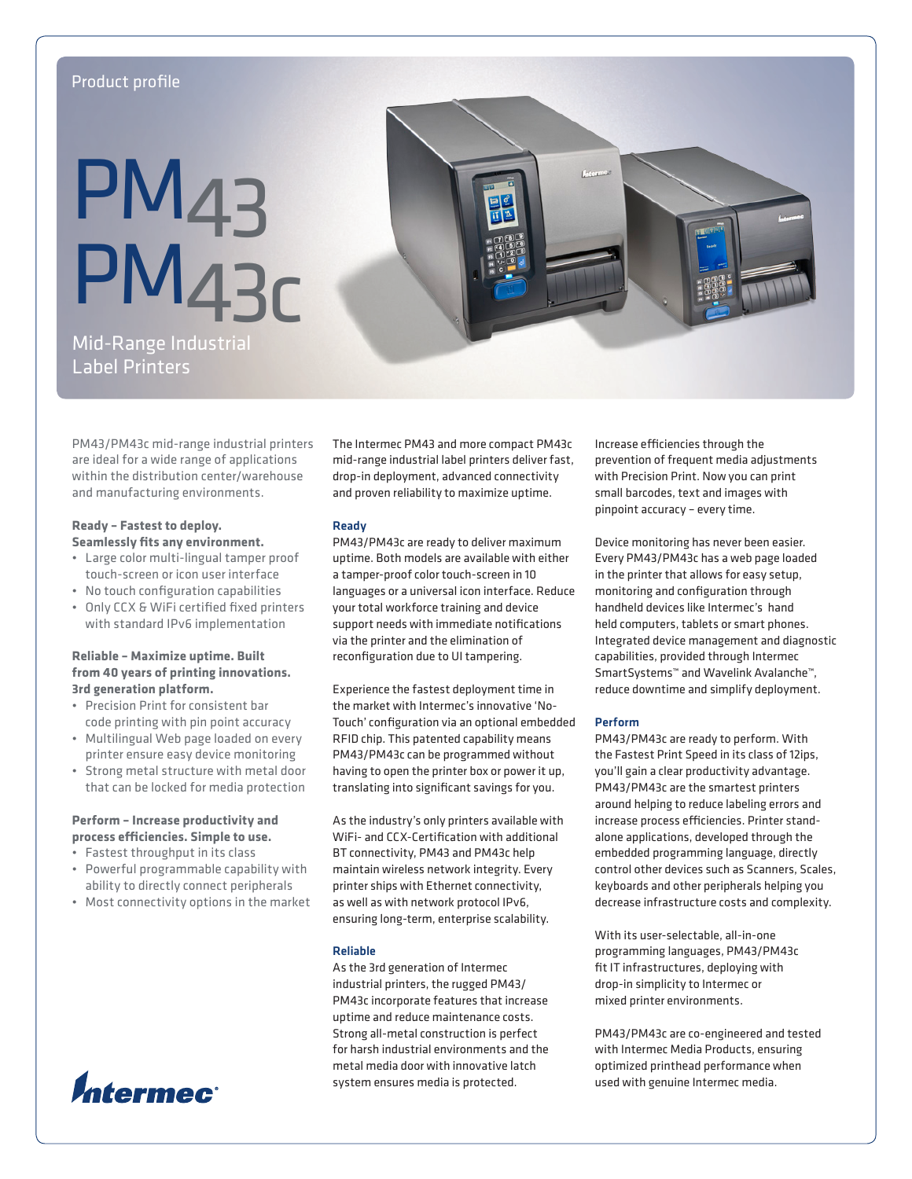# Product profile

# **PM<sub>43</sub>** PM43c

Mid-Range Industrial Label Printers

PM43/PM43c mid-range industrial printers are ideal for a wide range of applications within the distribution center/warehouse and manufacturing environments.

# **Ready – Fastest to deploy. Seamlessly fits any environment.**

- • Large color multi-lingual tamper proof touch-screen or icon user interface
- • No touch configuration capabilities
- • Only CCX & WiFi certified fixed printers with standard IPv6 implementation

# **Reliable – Maximize uptime. Built from 40 years of printing innovations. 3rd generation platform.**

- • Precision Print for consistent bar code printing with pin point accuracy
- • Multilingual Web page loaded on every printer ensure easy device monitoring
- Strong metal structure with metal door that can be locked for media protection

# **Perform – Increase productivity and process efficiencies. Simple to use.**

- • Fastest throughput in its class
- • Powerful programmable capability with ability to directly connect peripherals
- • Most connectivity options in the market



The Intermec PM43 and more compact PM43c mid-range industrial label printers deliver fast, drop-in deployment, advanced connectivity and proven reliability to maximize uptime.

# Ready

PM43/PM43c are ready to deliver maximum uptime. Both models are available with either a tamper-proof color touch-screen in 10 languages or a universal icon interface. Reduce your total workforce training and device support needs with immediate notifications via the printer and the elimination of reconfiguration due to UI tampering.

Experience the fastest deployment time in the market with Intermec's innovative 'No-Touch' configuration via an optional embedded RFID chip. This patented capability means PM43/PM43c can be programmed without having to open the printer box or power it up, translating into significant savings for you.

As the industry's only printers available with WiFi- and CCX-Certification with additional BT connectivity, PM43 and PM43c help maintain wireless network integrity. Every printer ships with Ethernet connectivity, as well as with network protocol IPv6, ensuring long-term, enterprise scalability.

# Reliable

As the 3rd generation of Intermec industrial printers, the rugged PM43/ PM43c incorporate features that increase uptime and reduce maintenance costs. Strong all-metal construction is perfect for harsh industrial environments and the metal media door with innovative latch system ensures media is protected.

Increase efficiencies through the prevention of frequent media adjustments with Precision Print. Now you can print small barcodes, text and images with pinpoint accuracy – every time.

Device monitoring has never been easier. Every PM43/PM43c has a web page loaded in the printer that allows for easy setup, monitoring and configuration through handheld devices like Intermec's hand held computers, tablets or smart phones. Integrated device management and diagnostic capabilities, provided through Intermec SmartSystems™ and Wavelink Avalanche™, reduce downtime and simplify deployment.

# Perform

PM43/PM43c are ready to perform. With the Fastest Print Speed in its class of 12ips, you'll gain a clear productivity advantage. PM43/PM43c are the smartest printers around helping to reduce labeling errors and increase process efficiencies. Printer standalone applications, developed through the embedded programming language, directly control other devices such as Scanners, Scales, keyboards and other peripherals helping you decrease infrastructure costs and complexity.

With its user-selectable, all-in-one programming languages, PM43/PM43c fit IT infrastructures, deploying with drop-in simplicity to Intermec or mixed printer environments.

PM43/PM43c are co-engineered and tested with Intermec Media Products, ensuring optimized printhead performance when used with genuine Intermec media.